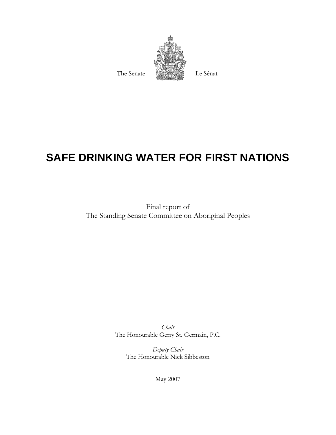

# **SAFE DRINKING WATER FOR FIRST NATIONS**

Final report of The Standing Senate Committee on Aboriginal Peoples

> *Chair*  The Honourable Gerry St. Germain, P.C.

> > *Deputy Chair*  The Honourable Nick Sibbeston

> > > May 2007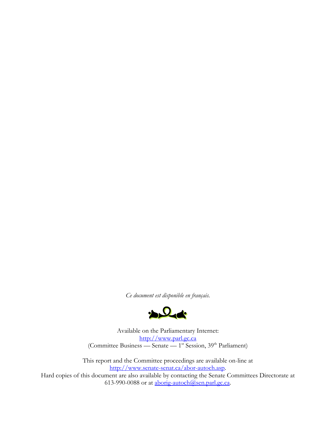*Ce document est disponible en français.* 



Available on the Parliamentary Internet: http://www.parl.gc.ca (Committee Business — Senate — 1<sup>st</sup> Session, 39<sup>th</sup> Parliament)

This report and the Committee proceedings are available on-line at http://www.senate-senat.ca/abor-autoch.asp. Hard copies of this document are also available by contacting the Senate Committees Directorate at 613-990-0088 or at aborig-autoch@sen.parl.gc.ca.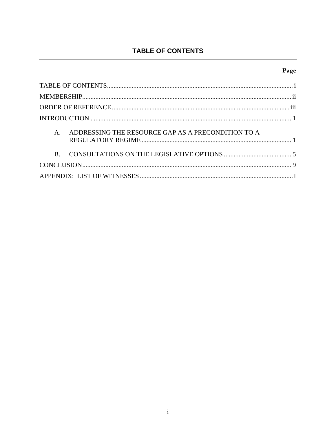# TABLE OF CONTENTS

# Page

| ADDRESSING THE RESOURCE GAP AS A PRECONDITION TO A<br>$\mathbf{A}$ |
|--------------------------------------------------------------------|
| $\mathbf{B}$                                                       |
|                                                                    |
|                                                                    |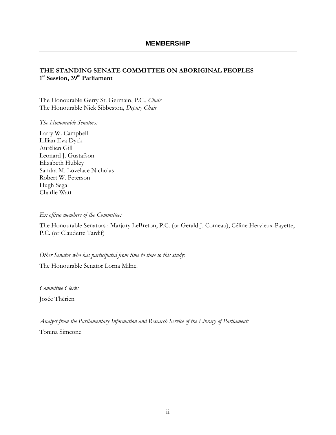### **THE STANDING SENATE COMMITTEE ON ABORIGINAL PEOPLES**  1<sup>st</sup> Session, 39<sup>th</sup> Parliament

The Honourable Gerry St. Germain, P.C., *Chair*  The Honourable Nick Sibbeston, *Deputy Chair*

*The Honourable Senators:* 

Larry W. Campbell Lillian Eva Dyck Aurélien Gill Leonard J. Gustafson Elizabeth Hubley Sandra M. Lovelace Nicholas Robert W. Peterson Hugh Segal Charlie Watt

#### *Ex officio members of the Committee:*

The Honourable Senators : Marjory LeBreton, P.C. (or Gerald J. Comeau), Céline Hervieux-Payette, P.C. (or Claudette Tardif)

*Other Senator who has participated from time to time to this study:* 

The Honourable Senator Lorna Milne.

*Committee Clerk:*  Josée Thérien

*Analyst from the Parliamentary Information and Research Service of the Library of Parliament:*  Tonina Simeone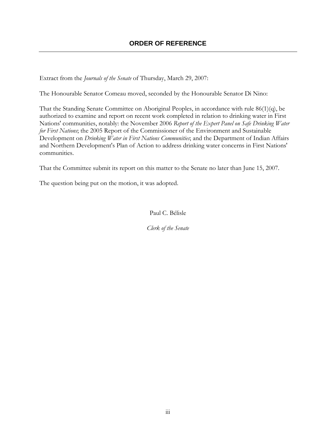## **ORDER OF REFERENCE**

Extract from the *Journals of the Senate* of Thursday, March 29, 2007:

The Honourable Senator Comeau moved, seconded by the Honourable Senator Di Nino:

That the Standing Senate Committee on Aboriginal Peoples, in accordance with rule 86(1)(q), be authorized to examine and report on recent work completed in relation to drinking water in First Nations' communities, notably: the November 2006 *Report of the Expert Panel on Safe Drinking Water for First Nations*; the 2005 Report of the Commissioner of the Environment and Sustainable Development on *Drinking Water in First Nations Communities*; and the Department of Indian Affairs and Northern Development's Plan of Action to address drinking water concerns in First Nations' communities.

That the Committee submit its report on this matter to the Senate no later than June 15, 2007.

The question being put on the motion, it was adopted.

Paul C. Bélisle

*Clerk of the Senate*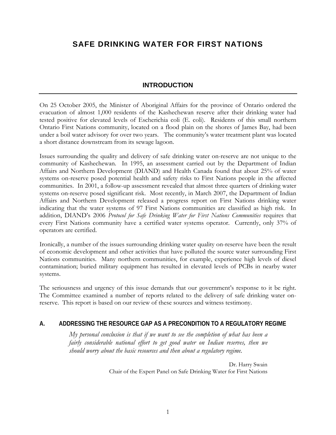# **SAFE DRINKING WATER FOR FIRST NATIONS**

## **INTRODUCTION**

On 25 October 2005, the Minister of Aboriginal Affairs for the province of Ontario ordered the evacuation of almost 1,000 residents of the Kashechewan reserve after their drinking water had tested positive for elevated levels of Escherichia coli (E. coli). Residents of this small northern Ontario First Nations community, located on a flood plain on the shores of James Bay, had been under a boil water advisory for over two years. The community's water treatment plant was located a short distance downstream from its sewage lagoon.

Issues surrounding the quality and delivery of safe drinking water on-reserve are not unique to the community of Kashechewan. In 1995, an assessment carried out by the Department of Indian Affairs and Northern Development (DIAND) and Health Canada found that about 25% of water systems on-reserve posed potential health and safety risks to First Nations people in the affected communities. In 2001, a follow-up assessment revealed that almost three quarters of drinking water systems on-reserve posed significant risk. Most recently, in March 2007, the Department of Indian Affairs and Northern Development released a progress report on First Nations drinking water indicating that the water systems of 97 First Nations communities are classified as high risk. In addition, DIAND's 2006 *Protocol for Safe Drinking Water for First Nations Communities* requires that every First Nations community have a certified water systems operator. Currently, only 37% of operators are certified.

Ironically, a number of the issues surrounding drinking water quality on-reserve have been the result of economic development and other activities that have polluted the source water surrounding First Nations communities. Many northern communities, for example, experience high levels of diesel contamination; buried military equipment has resulted in elevated levels of PCBs in nearby water systems.

The seriousness and urgency of this issue demands that our government's response to it be right. The Committee examined a number of reports related to the delivery of safe drinking water onreserve. This report is based on our review of these sources and witness testimony.

## **A. ADDRESSING THE RESOURCE GAP AS A PRECONDITION TO A REGULATORY REGIME**

*My personal conclusion is that if we want to see the completion of what has been a fairly considerable national effort to get good water on Indian reserves, then we should worry about the basic resources and then about a regulatory regime.* 

> Dr. Harry Swain Chair of the Expert Panel on Safe Drinking Water for First Nations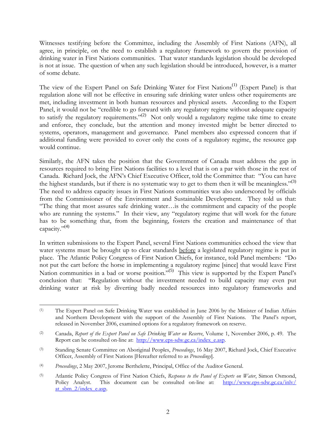Witnesses testifying before the Committee, including the Assembly of First Nations (AFN), all agree, in principle, on the need to establish a regulatory framework to govern the provision of drinking water in First Nations communities. That water standards legislation should be developed is not at issue. The question of when any such legislation should be introduced, however, is a matter of some debate.

The view of the Expert Panel on Safe Drinking Water for First Nations<sup>(1)</sup> (Expert Panel) is that regulation alone will not be effective in ensuring safe drinking water unless other requirements are met, including investment in both human resources and physical assets. According to the Expert Panel, it would not be "credible to go forward with any regulatory regime without adequate capacity to satisfy the regulatory requirements."<sup>(2)</sup> Not only would a regulatory regime take time to create and enforce, they conclude, but the attention and money invested might be better directed to systems, operators, management and governance. Panel members also expressed concern that if additional funding were provided to cover only the costs of a regulatory regime, the resource gap would continue.

Similarly, the AFN takes the position that the Government of Canada must address the gap in resources required to bring First Nations facilities to a level that is on a par with those in the rest of Canada. Richard Jock, the AFN's Chief Executive Officer, told the Committee that: "You can have the highest standards, but if there is no systematic way to get to them then it will be meaningless." $(3)$ The need to address capacity issues in First Nations communities was also underscored by officials from the Commissioner of the Environment and Sustainable Development. They told us that: "The thing that most assures safe drinking water…is the commitment and capacity of the people who are running the systems." In their view, any "regulatory regime that will work for the future has to be something that, from the beginning, fosters the creation and maintenance of that capacity." $(4)$ 

In written submissions to the Expert Panel, several First Nations communities echoed the view that water systems must be brought up to clear standards before a legislated regulatory regime is put in place. The Atlantic Policy Congress of First Nation Chiefs, for instance, told Panel members: "Do not put the cart before the horse in implementing a regulatory regime [since] that would leave First Nation communities in a bad or worse position.<sup>"(5)</sup> This view is supported by the Expert Panel's conclusion that: "Regulation without the investment needed to build capacity may even put drinking water at risk by diverting badly needed resources into regulatory frameworks and

 $\overline{\phantom{a}}$ (1) The Expert Panel on Safe Drinking Water was established in June 2006 by the Minister of Indian Affairs and Northern Development with the support of the Assembly of First Nations. The Panel's report, released in November 2006, examined options for a regulatory framework on reserve.

<sup>(2)</sup> Canada, *Report of the Expert Panel on Safe Drinking Water on Reserve*, Volume 1, November 2006, p. 49. The Report can be consulted on-line at: http://www.eps-sdw.gc.ca/index\_e.asp.

<sup>(3)</sup> Standing Senate Committee on Aboriginal Peoples, *Proceedings*, 16 May 2007, Richard Jock, Chief Executive Officer, Assembly of First Nations [Hereafter referred to as *Proceedings*].

<sup>(4)</sup> *Proceedings*, 2 May 2007, Jerome Berthelette, Principal, Office of the Auditor General.

<sup>(5)</sup> Atlantic Policy Congress of First Nation Chiefs, *Response to the Panel of Experts on Water*, Simon Osmond, Policy Analyst. This document can be consulted on-line at: http://www.eps-sdw.gc.ca/inlv/ at sbm 2/index e.asp.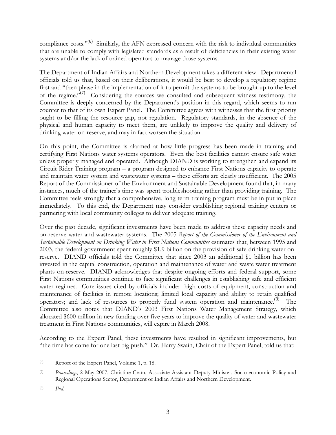compliance costs."<sup>(6)</sup> Similarly, the AFN expressed concern with the risk to individual communities that are unable to comply with legislated standards as a result of deficiencies in their existing water systems and/or the lack of trained operators to manage those systems.

The Department of Indian Affairs and Northern Development takes a different view. Departmental officials told us that, based on their deliberations, it would be best to develop a regulatory regime first and "then phase in the implementation of it to permit the systems to be brought up to the level of the regime."<sup>(7)</sup> Considering the sources we consulted and subsequent witness testimony, the Committee is deeply concerned by the Department's position in this regard, which seems to run counter to that of its own Expert Panel. The Committee agrees with witnesses that the first priority ought to be filling the resource gap, not regulation. Regulatory standards, in the absence of the physical and human capacity to meet them, are unlikely to improve the quality and delivery of drinking water on-reserve, and may in fact worsen the situation.

On this point, the Committee is alarmed at how little progress has been made in training and certifying First Nations water systems operators. Even the best facilities cannot ensure safe water unless properly managed and operated. Although DIAND is working to strengthen and expand its Circuit Rider Training program – a program designed to enhance First Nations capacity to operate and maintain water system and wastewater systems – these efforts are clearly insufficient. The 2005 Report of the Commissioner of the Environment and Sustainable Development found that, in many instances, much of the trainer's time was spent troubleshooting rather than providing training. The Committee feels strongly that a comprehensive, long-term training program must be in put in place immediately. To this end, the Department may consider establishing regional training centers or partnering with local community colleges to deliver adequate training.

Over the past decade, significant investments have been made to address these capacity needs and on-reserve water and wastewater systems. The 2005 *Report of the Commissioner of the Environment and Sustainable Development on Drinking Water in First Nations Communities* estimates that, between 1995 and 2003, the federal government spent roughly \$1.9 billion on the provision of safe drinking water onreserve. DIAND officials told the Committee that since 2003 an additional \$1 billion has been invested in the capital construction, operation and maintenance of water and waste water treatment plants on-reserve. DIAND acknowledges that despite ongoing efforts and federal support, some First Nations communities continue to face significant challenges in establishing safe and efficient water regimes. Core issues cited by officials include: high costs of equipment, construction and maintenance of facilities in remote locations; limited local capacity and ability to retain qualified operators; and lack of resources to properly fund system operation and maintenance.<sup>(8)</sup> The Committee also notes that DIAND's 2003 First Nations Water Management Strategy*,* which allocated \$600 million in new funding over five years to improve the quality of water and wastewater treatment in First Nations communities, will expire in March 2008.

According to the Expert Panel, these investments have resulted in significant improvements, but "the time has come for one last big push." Dr. Harry Swain, Chair of the Expert Panel, told us that:

 $\overline{\phantom{a}}$ (6) Report of the Expert Panel, Volume 1, p. 18.

<sup>(7)</sup> *Proceedings*, 2 May 2007, Christine Cram, Associate Assistant Deputy Minister, Socio-economic Policy and Regional Operations Sector, Department of Indian Affairs and Northern Development.

<sup>(8)</sup> *Ibid.*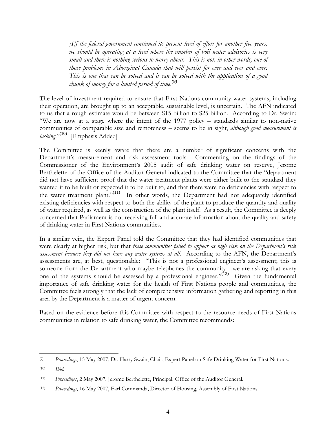*[I]f the federal government continued its present level of effort for another five years, we should be operating at a level where the number of boil water advisories is very small and there is nothing serious to worry about. This is not, in other words, one of those problems in Aboriginal Canada that will persist for ever and ever and ever. This is one that can be solved and it can be solved with the application of a good chunk of money for a limited period of time.(9)* 

The level of investment required to ensure that First Nations community water systems, including their operation, are brought up to an acceptable, sustainable level, is uncertain. The AFN indicated to us that a rough estimate would be between \$15 billion to \$25 billion. According to Dr. Swain: "We are now at a stage where the intent of the 1977 policy – standards similar to non-native communities of comparable size and remoteness – seems to be in sight, *although good measurement is lacking*."<sup>(10)</sup> [Emphasis Added]

The Committee is keenly aware that there are a number of significant concerns with the Department's measurement and risk assessment tools. Commenting on the findings of the Commissioner of the Environment's 2005 audit of safe drinking water on reserve, Jerome Berthelette of the Office of the Auditor General indicated to the Committee that the "department did not have sufficient proof that the water treatment plants were either built to the standard they wanted it to be built or expected it to be built to, and that there were no deficiencies with respect to the water treatment plant."<sup>(11)</sup> In other words, the Department had not adequately identified existing deficiencies with respect to both the ability of the plant to produce the quantity and quality of water required, as well as the construction of the plant itself. As a result, the Committee is deeply concerned that Parliament is not receiving full and accurate information about the quality and safety of drinking water in First Nations communities.

In a similar vein, the Expert Panel told the Committee that they had identified communities that were clearly at higher risk, but that *these communities failed to appear as high risk on the Department's risk assessment because they did not have any water systems at all.* According to the AFN, the Department's assessments are, at best, questionable: "This is not a professional engineer's assessment; this is someone from the Department who maybe telephones the community...we are asking that every one of the systems should be assessed by a professional engineer."(12) Given the fundamental importance of safe drinking water for the health of First Nations people and communities, the Committee feels strongly that the lack of comprehensive information gathering and reporting in this area by the Department is a matter of urgent concern.

Based on the evidence before this Committee with respect to the resource needs of First Nations communities in relation to safe drinking water, the Committee recommends:

 $\overline{\phantom{a}}$ 

<sup>(9)</sup> *Proceedings*, 15 May 2007, Dr. Harry Swain, Chair, Expert Panel on Safe Drinking Water for First Nations.

<sup>(10)</sup> *Ibid.*

<sup>(11)</sup> *Proceedings*, 2 May 2007, Jerome Berthelette, Principal, Office of the Auditor General.

<sup>(12)</sup> *Proceedings*, 16 May 2007, Earl Commanda, Director of Housing, Assembly of First Nations.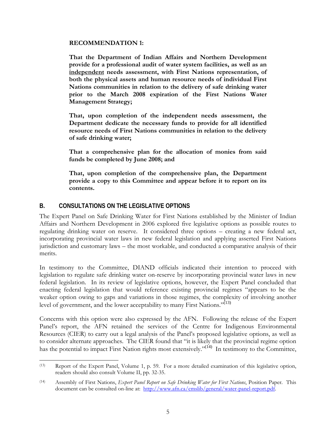#### **RECOMMENDATION 1:**

**That the Department of Indian Affairs and Northern Development provide for a professional audit of water system facilities, as well as an independent needs assessment, with First Nations representation, of both the physical assets and human resource needs of individual First Nations communities in relation to the delivery of safe drinking water prior to the March 2008 expiration of the First Nations Water Management Strategy;** 

**That, upon completion of the independent needs assessment, the Department dedicate the necessary funds to provide for all identified resource needs of First Nations communities in relation to the delivery of safe drinking water;** 

**That a comprehensive plan for the allocation of monies from said funds be completed by June 2008; and** 

**That, upon completion of the comprehensive plan, the Department provide a copy to this Committee and appear before it to report on its contents.** 

### **B. CONSULTATIONS ON THE LEGISLATIVE OPTIONS**

The Expert Panel on Safe Drinking Water for First Nations established by the Minister of Indian Affairs and Northern Development in 2006 explored five legislative options as possible routes to regulating drinking water on reserve. It considered three options – creating a new federal act, incorporating provincial water laws in new federal legislation and applying asserted First Nations jurisdiction and customary laws – the most workable, and conducted a comparative analysis of their merits.

In testimony to the Committee, DIAND officials indicated their intention to proceed with legislation to regulate safe drinking water on-reserve by incorporating provincial water laws in new federal legislation. In its review of legislative options, however, the Expert Panel concluded that enacting federal legislation that would reference existing provincial regimes "appears to be the weaker option owing to gaps and variations in those regimes, the complexity of involving another level of government, and the lower acceptability to many First Nations."<sup>(13)</sup>

Concerns with this option were also expressed by the AFN. Following the release of the Expert Panel's report, the AFN retained the services of the Centre for Indigenous Environmental Resources (CIER) to carry out a legal analysis of the Panel's proposed legislative options, as well as to consider alternate approaches. The CIER found that "it is likely that the provincial regime option has the potential to impact First Nation rights most extensively."<sup>(14)</sup> In testimony to the Committee,

 $\overline{\phantom{a}}$ (13) Report of the Expert Panel, Volume 1, p. 59. For a more detailed examination of this legislative option, readers should also consult Volume II, pp. 32-35.

<sup>(14)</sup> Assembly of First Nations, *Expert Panel Report on Safe Drinking Water for First Nations*, Position Paper. This document can be consulted on-line at: http://www.afn.ca/cmslib/general/water-panel-report.pdf.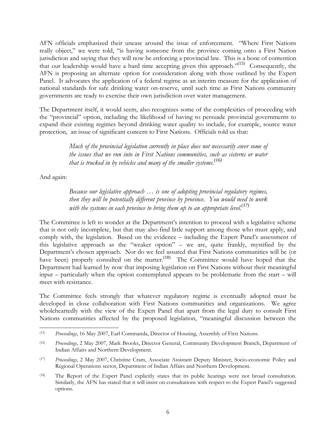AFN officials emphasized their unease around the issue of enforcement. "Where First Nations really object," we were told, "is having someone from the province coming onto a First Nation jurisdiction and saying that they will now be enforcing a provincial law. This is a bone of contention that our leadership would have a hard time accepting given this approach."(15) Consequently, the AFN is proposing an alternate option for consideration along with those outlined by the Expert Panel. It advocates the application of a federal regime as an interim measure for the application of national standards for safe drinking water on-reserve, until such time as First Nations community governments are ready to exercise their own jurisdiction over water management.

The Department itself, it would seem, also recognizes some of the complexities of proceeding with the "provincial" option, including the likelihood of having to persuade provincial governments to expand their existing regimes beyond drinking water quality to include, for example, source water protection, an issue of significant concern to First Nations. Officials told us that:

> *Much of the provincial legislation currently in place does not necessarily cover some of the issues that we run into in First Nations communities, such as cisterns or water that is trucked in by vehicles and many of the smaller systems.(16)*

And again:

*Because our legislative approach … is one of adopting provincial regulatory regimes, then they will be potentially different province by province. You would need to work with the systems in each province to bring them up to an appropriate level.(17)*

The Committee is left to wonder at the Department's intention to proceed with a legislative scheme that is not only incomplete, but that may also find little support among those who must apply, and comply with, the legislation. Based on the evidence – including the Expert Panel's assessment of this legislative approach as the "weaker option" – we are, quite frankly, mystified by the Department's chosen approach. Nor do we feel assured that First Nations communities will be (or have been) properly consulted on the matter.<sup>(18)</sup> The Committee would have hoped that the Department had learned by now that imposing legislation on First Nations without their meaningful input – particularly when the option contemplated appears to be problematic from the start – will meet with resistance.

The Committee feels strongly that whatever regulatory regime is eventually adopted must be developed in close collaboration with First Nations communities and organizations. We agree wholeheartedly with the view of the Expert Panel that apart from the legal duty to consult First Nations communities affected by the proposed legislation, "meaningful discussion between the

l (15) *Proceedings*, 16 May 2007, Earl Commanda, Director of Housing, Assembly of First Nations.

<sup>(16)</sup> *Proceedings*, 2 May 2007, Mark Brooks, Director General, Community Development Branch, Department of Indian Affairs and Northern Development.

<sup>(17)</sup> *Proceedings*, 2 May 2007, Christine Cram, Associate Assistant Deputy Minister, Socio-economic Policy and Regional Operations sector, Department of Indian Affairs and Northern Development.

<sup>(18)</sup> The Report of the Expert Panel explicitly states that its public hearings were not broad consultation. Similarly, the AFN has stated that it will insist on consultations with respect to the Expert Panel's suggested options.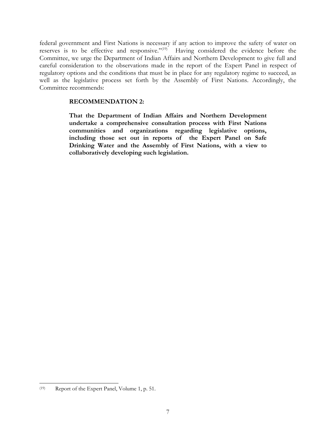federal government and First Nations is necessary if any action to improve the safety of water on reserves is to be effective and responsive."<sup>(19)</sup> Having considered the evidence before the Committee, we urge the Department of Indian Affairs and Northern Development to give full and careful consideration to the observations made in the report of the Expert Panel in respect of regulatory options and the conditions that must be in place for any regulatory regime to succeed, as well as the legislative process set forth by the Assembly of First Nations. Accordingly, the Committee recommends:

#### **RECOMMENDATION 2:**

**That the Department of Indian Affairs and Northern Development undertake a comprehensive consultation process with First Nations communities and organizations regarding legislative options, including those set out in reports of the Expert Panel on Safe Drinking Water and the Assembly of First Nations, with a view to collaboratively developing such legislation.** 

 $\overline{\phantom{a}}$ 

<sup>(19)</sup> Report of the Expert Panel, Volume 1, p. 51.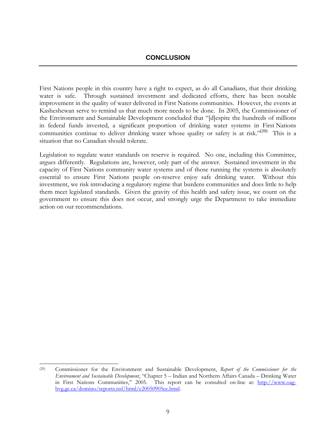### **CONCLUSION**

First Nations people in this country have a right to expect, as do all Canadians, that their drinking water is safe. Through sustained investment and dedicated efforts, there has been notable improvement in the quality of water delivered in First Nations communities. However, the events at Kasheshewan serve to remind us that much more needs to be done. In 2005, the Commissioner of the Environment and Sustainable Development concluded that "[d]espite the hundreds of millions in federal funds invested, a significant proportion of drinking water systems in First Nations communities continue to deliver drinking water whose quality or safety is at risk."<sup>(20)</sup> This is a situation that no Canadian should tolerate.

Legislation to regulate water standards on reserve is required. No one, including this Committee, argues differently. Regulations are, however, only part of the answer. Sustained investment in the capacity of First Nations community water systems and of those running the systems is absolutely essential to ensure First Nations people on-reserve enjoy safe drinking water. Without this investment, we risk introducing a regulatory regime that burdens communities and does little to help them meet legislated standards. Given the gravity of this health and safety issue, we count on the government to ensure this does not occur, and strongly urge the Department to take immediate action on our recommendations.

 $\overline{\phantom{a}}$ 

<sup>(20)</sup> Commissioner for the Environment and Sustainable Development, *Report of the Commissioner for the Environment and Sustainable Development*, "Chapter 5 – Indian and Northern Affairs Canada – Drinking Water in First Nations Communities," 2005. This report can be consulted on-line at: http://www.oagbvg.gc.ca/domino/reports.nsf/html/c20050905ce.html.